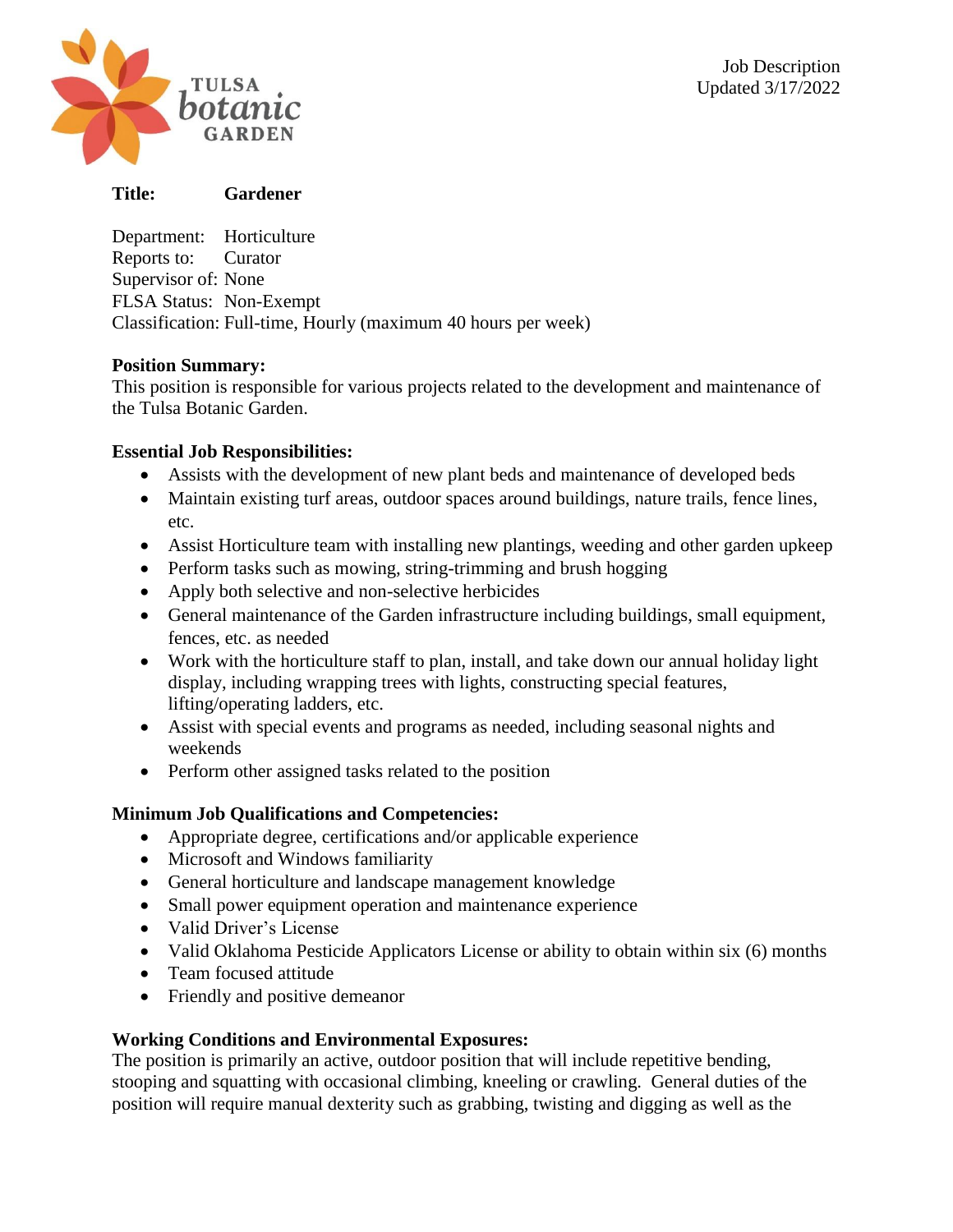

## **Title: Gardener**

Department: Horticulture Reports to: Curator Supervisor of: None FLSA Status: Non-Exempt Classification: Full-time, Hourly (maximum 40 hours per week)

### **Position Summary:**

This position is responsible for various projects related to the development and maintenance of the Tulsa Botanic Garden.

### **Essential Job Responsibilities:**

- Assists with the development of new plant beds and maintenance of developed beds
- Maintain existing turf areas, outdoor spaces around buildings, nature trails, fence lines, etc.
- Assist Horticulture team with installing new plantings, weeding and other garden upkeep
- Perform tasks such as mowing, string-trimming and brush hogging
- Apply both selective and non-selective herbicides
- General maintenance of the Garden infrastructure including buildings, small equipment, fences, etc. as needed
- Work with the horticulture staff to plan, install, and take down our annual holiday light display, including wrapping trees with lights, constructing special features, lifting/operating ladders, etc.
- Assist with special events and programs as needed, including seasonal nights and weekends
- Perform other assigned tasks related to the position

# **Minimum Job Qualifications and Competencies:**

- Appropriate degree, certifications and/or applicable experience
- Microsoft and Windows familiarity
- General horticulture and landscape management knowledge
- Small power equipment operation and maintenance experience
- Valid Driver's License
- Valid Oklahoma Pesticide Applicators License or ability to obtain within six (6) months
- Team focused attitude
- Friendly and positive demeanor

# **Working Conditions and Environmental Exposures:**

The position is primarily an active, outdoor position that will include repetitive bending, stooping and squatting with occasional climbing, kneeling or crawling. General duties of the position will require manual dexterity such as grabbing, twisting and digging as well as the